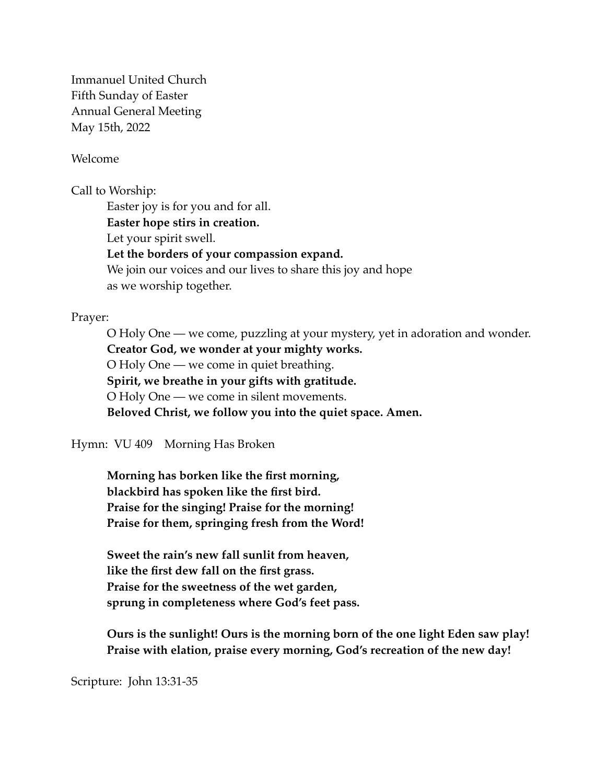Immanuel United Church Fifth Sunday of Easter Annual General Meeting May 15th, 2022

Welcome

Call to Worship:

Easter joy is for you and for all. **Easter hope stirs in creation.**  Let your spirit swell. **Let the borders of your compassion expand.**  We join our voices and our lives to share this joy and hope as we worship together.

Prayer:

O Holy One — we come, puzzling at your mystery, yet in adoration and wonder. **Creator God, we wonder at your mighty works.**  O Holy One — we come in quiet breathing. **Spirit, we breathe in your gifts with gratitude.**  O Holy One — we come in silent movements. **Beloved Christ, we follow you into the quiet space. Amen.** 

Hymn: VU 409 Morning Has Broken

**Morning has borken like the first morning, blackbird has spoken like the first bird. Praise for the singing! Praise for the morning! Praise for them, springing fresh from the Word!** 

**Sweet the rain's new fall sunlit from heaven, like the first dew fall on the first grass. Praise for the sweetness of the wet garden, sprung in completeness where God's feet pass.** 

**Ours is the sunlight! Ours is the morning born of the one light Eden saw play! Praise with elation, praise every morning, God's recreation of the new day!** 

Scripture: John 13:31-35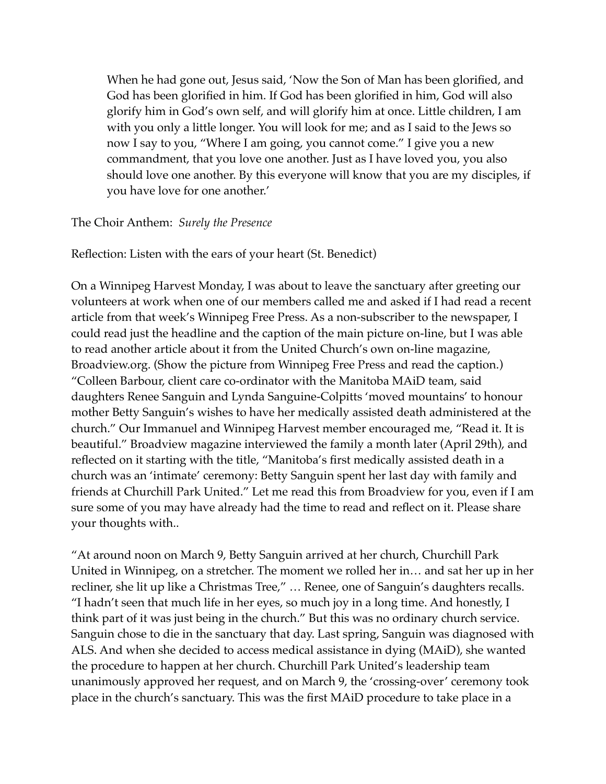When he had gone out, Jesus said, 'Now the Son of Man has been glorified, and God has been glorified in him. If God has been glorified in him, God will also glorify him in God's own self, and will glorify him at once. Little children, I am with you only a little longer. You will look for me; and as I said to the Jews so now I say to you, "Where I am going, you cannot come." I give you a new commandment, that you love one another. Just as I have loved you, you also should love one another. By this everyone will know that you are my disciples, if you have love for one another.'

# The Choir Anthem: *Surely the Presence*

Reflection: Listen with the ears of your heart (St. Benedict)

On a Winnipeg Harvest Monday, I was about to leave the sanctuary after greeting our volunteers at work when one of our members called me and asked if I had read a recent article from that week's Winnipeg Free Press. As a non-subscriber to the newspaper, I could read just the headline and the caption of the main picture on-line, but I was able to read another article about it from the United Church's own on-line magazine, Broadview.org. (Show the picture from Winnipeg Free Press and read the caption.) "Colleen Barbour, client care co-ordinator with the Manitoba MAiD team, said daughters Renee Sanguin and Lynda Sanguine-Colpitts 'moved mountains' to honour mother Betty Sanguin's wishes to have her medically assisted death administered at the church." Our Immanuel and Winnipeg Harvest member encouraged me, "Read it. It is beautiful." Broadview magazine interviewed the family a month later (April 29th), and reflected on it starting with the title, "Manitoba's first medically assisted death in a church was an 'intimate' ceremony: Betty Sanguin spent her last day with family and friends at Churchill Park United." Let me read this from Broadview for you, even if I am sure some of you may have already had the time to read and reflect on it. Please share your thoughts with..

"At around noon on March 9, Betty Sanguin arrived at her church, Churchill Park United in Winnipeg, on a stretcher. The moment we rolled her in… and sat her up in her recliner, she lit up like a Christmas Tree," … Renee, one of Sanguin's daughters recalls. "I hadn't seen that much life in her eyes, so much joy in a long time. And honestly, I think part of it was just being in the church." But this was no ordinary church service. Sanguin chose to die in the sanctuary that day. Last spring, Sanguin was diagnosed with ALS. And when she decided to access medical assistance in dying (MAiD), she wanted the procedure to happen at her church. Churchill Park United's leadership team unanimously approved her request, and on March 9, the 'crossing-over' ceremony took place in the church's sanctuary. This was the first MAiD procedure to take place in a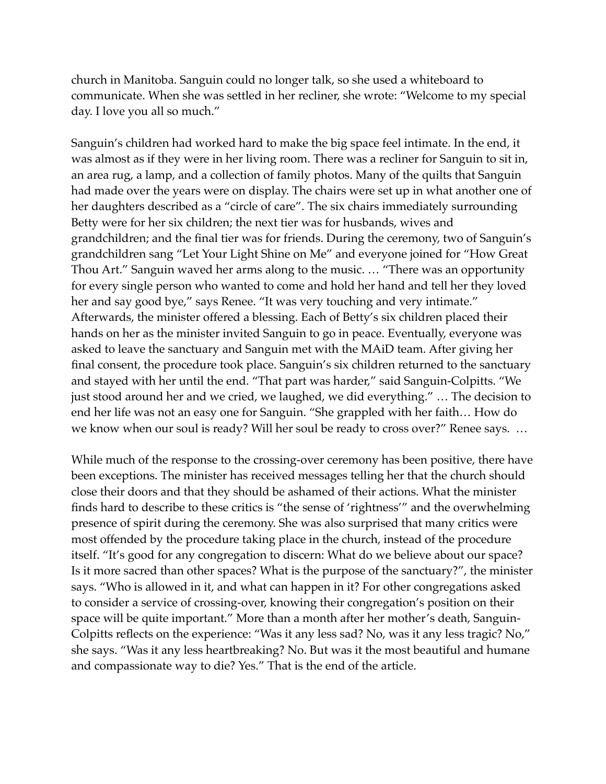church in Manitoba. Sanguin could no longer talk, so she used a whiteboard to communicate. When she was settled in her recliner, she wrote: "Welcome to my special day. I love you all so much."

Sanguin's children had worked hard to make the big space feel intimate. In the end, it was almost as if they were in her living room. There was a recliner for Sanguin to sit in, an area rug, a lamp, and a collection of family photos. Many of the quilts that Sanguin had made over the years were on display. The chairs were set up in what another one of her daughters described as a "circle of care". The six chairs immediately surrounding Betty were for her six children; the next tier was for husbands, wives and grandchildren; and the final tier was for friends. During the ceremony, two of Sanguin's grandchildren sang "Let Your Light Shine on Me" and everyone joined for "How Great Thou Art." Sanguin waved her arms along to the music. … "There was an opportunity for every single person who wanted to come and hold her hand and tell her they loved her and say good bye," says Renee. "It was very touching and very intimate." Afterwards, the minister offered a blessing. Each of Betty's six children placed their hands on her as the minister invited Sanguin to go in peace. Eventually, everyone was asked to leave the sanctuary and Sanguin met with the MAiD team. After giving her final consent, the procedure took place. Sanguin's six children returned to the sanctuary and stayed with her until the end. "That part was harder," said Sanguin-Colpitts. "We just stood around her and we cried, we laughed, we did everything." … The decision to end her life was not an easy one for Sanguin. "She grappled with her faith… How do we know when our soul is ready? Will her soul be ready to cross over?" Renee says. …

While much of the response to the crossing-over ceremony has been positive, there have been exceptions. The minister has received messages telling her that the church should close their doors and that they should be ashamed of their actions. What the minister finds hard to describe to these critics is "the sense of 'rightness'" and the overwhelming presence of spirit during the ceremony. She was also surprised that many critics were most offended by the procedure taking place in the church, instead of the procedure itself. "It's good for any congregation to discern: What do we believe about our space? Is it more sacred than other spaces? What is the purpose of the sanctuary?", the minister says. "Who is allowed in it, and what can happen in it? For other congregations asked to consider a service of crossing-over, knowing their congregation's position on their space will be quite important." More than a month after her mother's death, Sanguin-Colpitts reflects on the experience: "Was it any less sad? No, was it any less tragic? No," she says. "Was it any less heartbreaking? No. But was it the most beautiful and humane and compassionate way to die? Yes." That is the end of the article.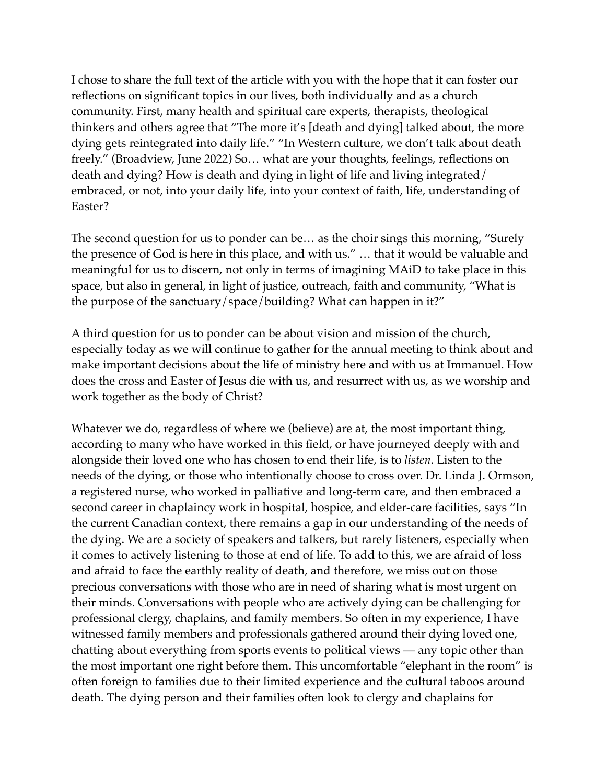I chose to share the full text of the article with you with the hope that it can foster our reflections on significant topics in our lives, both individually and as a church community. First, many health and spiritual care experts, therapists, theological thinkers and others agree that "The more it's [death and dying] talked about, the more dying gets reintegrated into daily life." "In Western culture, we don't talk about death freely." (Broadview, June 2022) So… what are your thoughts, feelings, reflections on death and dying? How is death and dying in light of life and living integrated/ embraced, or not, into your daily life, into your context of faith, life, understanding of Easter?

The second question for us to ponder can be… as the choir sings this morning, "Surely the presence of God is here in this place, and with us." … that it would be valuable and meaningful for us to discern, not only in terms of imagining MAiD to take place in this space, but also in general, in light of justice, outreach, faith and community, "What is the purpose of the sanctuary/space/building? What can happen in it?"

A third question for us to ponder can be about vision and mission of the church, especially today as we will continue to gather for the annual meeting to think about and make important decisions about the life of ministry here and with us at Immanuel. How does the cross and Easter of Jesus die with us, and resurrect with us, as we worship and work together as the body of Christ?

Whatever we do, regardless of where we (believe) are at, the most important thing, according to many who have worked in this field, or have journeyed deeply with and alongside their loved one who has chosen to end their life, is to *listen*. Listen to the needs of the dying, or those who intentionally choose to cross over. Dr. Linda J. Ormson, a registered nurse, who worked in palliative and long-term care, and then embraced a second career in chaplaincy work in hospital, hospice, and elder-care facilities, says "In the current Canadian context, there remains a gap in our understanding of the needs of the dying. We are a society of speakers and talkers, but rarely listeners, especially when it comes to actively listening to those at end of life. To add to this, we are afraid of loss and afraid to face the earthly reality of death, and therefore, we miss out on those precious conversations with those who are in need of sharing what is most urgent on their minds. Conversations with people who are actively dying can be challenging for professional clergy, chaplains, and family members. So often in my experience, I have witnessed family members and professionals gathered around their dying loved one, chatting about everything from sports events to political views — any topic other than the most important one right before them. This uncomfortable "elephant in the room" is often foreign to families due to their limited experience and the cultural taboos around death. The dying person and their families often look to clergy and chaplains for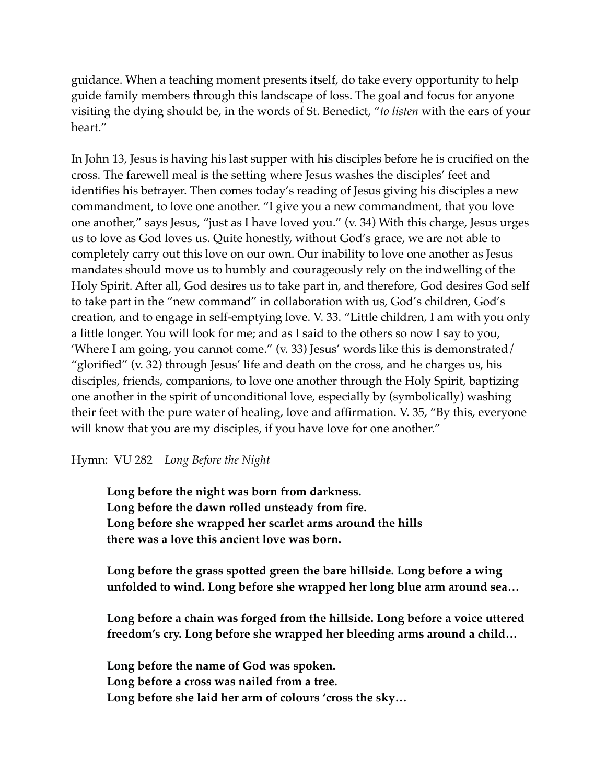guidance. When a teaching moment presents itself, do take every opportunity to help guide family members through this landscape of loss. The goal and focus for anyone visiting the dying should be, in the words of St. Benedict, "*to listen* with the ears of your heart."

In John 13, Jesus is having his last supper with his disciples before he is crucified on the cross. The farewell meal is the setting where Jesus washes the disciples' feet and identifies his betrayer. Then comes today's reading of Jesus giving his disciples a new commandment, to love one another. "I give you a new commandment, that you love one another," says Jesus, "just as I have loved you." (v. 34) With this charge, Jesus urges us to love as God loves us. Quite honestly, without God's grace, we are not able to completely carry out this love on our own. Our inability to love one another as Jesus mandates should move us to humbly and courageously rely on the indwelling of the Holy Spirit. After all, God desires us to take part in, and therefore, God desires God self to take part in the "new command" in collaboration with us, God's children, God's creation, and to engage in self-emptying love. V. 33. "Little children, I am with you only a little longer. You will look for me; and as I said to the others so now I say to you, 'Where I am going, you cannot come." (v. 33) Jesus' words like this is demonstrated/ "glorified" (v. 32) through Jesus' life and death on the cross, and he charges us, his disciples, friends, companions, to love one another through the Holy Spirit, baptizing one another in the spirit of unconditional love, especially by (symbolically) washing their feet with the pure water of healing, love and affirmation. V. 35, "By this, everyone will know that you are my disciples, if you have love for one another."

#### Hymn: VU 282 *Long Before the Night*

**Long before the night was born from darkness. Long before the dawn rolled unsteady from fire. Long before she wrapped her scarlet arms around the hills there was a love this ancient love was born.** 

**Long before the grass spotted green the bare hillside. Long before a wing unfolded to wind. Long before she wrapped her long blue arm around sea…**

**Long before a chain was forged from the hillside. Long before a voice uttered freedom's cry. Long before she wrapped her bleeding arms around a child…**

**Long before the name of God was spoken. Long before a cross was nailed from a tree. Long before she laid her arm of colours 'cross the sky…**